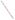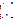





# **Criteria for Selection of**

# **Environmental Decision Support Software**

# **Technology Demonstration Participants**

**December 1997**





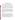# **Criteria for Selection of Decision Support Software Technology Demonstration Participants**

The Environmental Technology Verification program has a major objective to test new and innovative techniques. As part of this program, the U. S. Environmental Protection Agency (EPA) in collaboration with the U. S. Department of Energy (DOE) is working to test and verify the performance of environmental decision support software (DSS) packages.

The term environmental decision support software covers a wide range of software packages with differing capabilities and objectives. For example, the environmental decision could pertain to site characterization, monitoring, supporting no further action decisions, or selecting between alternative remedial actions. Structuring a DSS tool to meet one of these end points will lead to a different emphasis in the DSS. Therefore, for the purposes of the technology verification program, criteria are needed to evaluate the different software packages for inclusion in the program.

The following criteria represent a beginning for defining the selection criteria. At this stage of the project, the criteria are broad-based with the intent of capturing a wide range of interests for the initial developer's conference. The following criteria represent the qualifications which are believed to be important. However, it is not necessary for any particular software package to satisfy all of the criteria. The decision for inclusion will be based on the overall strength of the DSS in all of the criteria. After the conference, the criteria will be refined to assist in the selection of participants for the technology verification demonstration. Based on the level of interest expressed in this program by the developers, the program may be modified and repeated to examine other decision support software and thereby permit a broader range of software to be tested.

#### **Class of Problems**

Environmental cleanup decisions require a multi-disciplinary analysis with many factors involved in the decision process. The software should integrate the necessary disciplines and analyses into a form for making a decision. Under any environmental decision analysis approach, there exists a series of sub-models which address one component of the decision making process, e.g., groundwater flow and transport models, geostatistical models, ecological and human health risk models, or cost/benefit models. The accuracy of these sub-models and their ability to support a decision will depend upon various influencing factors associated with a particular site. The purpose of this program is to emphasize the ability of the DSS tool to produce results in a robust, defensible manner which will allow the user to make better qualified decisions. It is not the purpose of this program to emphasize sub-model accuracy. Sub-model accuracy is important only to the extent that it is needed to support the decision.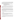The environmental decision could pertain to site characterization, monitoring, supporting no further action decisions, or selecting between alternative remedial actions. Testing all these functions at this time is not possible. To limit the problem, it has been decided to test software designed to address contaminant monitoring and sampling strategies. To limit the problem, it has been decided to test software designed to address contaminant monitoring and sampling strategies. These problems will require the software to:

- Evaluate the Nature and Extent of Contamination
- Define the Remedial Boundaries or Area of Concern
- Recommend Secondary Sampling Locations or a Long Term Monitoring Plan
- Perform Cost Benefit/Risk Analysis Regarding Sampling Strategies, Alternative Actions or Action levels

Software is not required to address all of these aspects in the decision problem, for example, it may not perform a risk analysis. However, software that includes all these features and more will be given higher priority in the selection for the demonstration. Software that focuses on other types of decisions and can handle the above issues in an ad-hoc manner will receive lower priority.

To eliminate difficulties with detailed characterization of water flow, water flow will be specified or the problem will be developed such that it does not affect the decision (e.g., soil contamination problems or problems involving the definition of the current nature and extent of contamination). Calculation of water flow is a critical issue in many subsurface contamination problems and should not be dismissed. However, it is also a difficult time-consuming task often requiring man-months of effort to calibrate a flow field correctly. It is felt that this type of effort is not possible under this evaluation.

Other aspects of decision support software, such as remedy selection and optimization of remedial design exist and should be tested. However, they are beyond the scope of this program.

# **Software Outputs**

In making decisions concerning monitoring or sampling, there will always be some uncertainty. In general, the output of the model should be in a form that helps support environmental decisions. In this case, it should either compare alternatives or provide estimates of the level of uncertainty in the model projections.

Graphical visualization tools which assists in the analysis are commonly used in DSS. Graphical output generated by the code should be supplied as part of the support for the decision.

An important part in providing decision support is thorough documentation of parameter selections and model assumptions. Software that provides this as output will be more useful in supporting the decision process.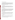### **Simulation Sub-Models and Inputs**

Decision support software that has the capability to accept input in many formats will be given higher priority than those that have limited input capabilities. In addition, software that uses sub-models that are based on well-understood physical, chemical, and mathematical principles will be given higher priority than those based on empirical approaches. Models based on parameters that are typically measured or reported will be given higher priority than those that have models that have unusual data requirements.

### **Range of Contaminants**

Decision support software that can address a wide range of contaminants and environmental conditions will be given higher priority than those that cannot. This is not meant to exclude software that handles only a specific range of problems. For example, if the software had many desirable features but only handles volatile organic compounds dissolved in water, it may still be selected.

#### **Range of Media and Phases**

Decision support software that handles many media, (soil and groundwater) will be given a higher priority than those that cannot. This is not meant to exclude software that addresses only one of these media. The different transport characteristics of the contaminants in different phases make it difficult to simulate multiple phases, therefore, it is likely that many software packages will address only a single phase. In particular, because of the difficulty associated with predicting flow and transport of non-aqueous phases, this class of problem will not be emphasized in the test problems.

## **Support for the Decision**

Decision support tools that provide a thorough scientific rationale to support the decision will be given higher priority than tools with less robust technical support. For example, tools based on a suite of analysis techniques, e.g., classical statistics, geostatistics and interpolation of the data will be given a higher priority than those based on only one of these techniques.

## **Stage of Development**

Highest preference will be given to commercially available software packages followed by software packages that are almost ready for commercialization (e.g., nearing completion of beta-testing).

DSS which have been used by environmental managers to make decisions or communicate remedial alternatives to regulators or the public will be given higher preference for inclusion in the technology verification demonstration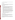Software from U.S. companies or supported by U.S. government funding will be given higher preference than non-U.S. companies.

## **DSS Documentation**

Review of the DSS documentation and instruction manual will be performed as part of the final participant selection process. DSS with extensive and clear documentation will receive higher priority than DSS that is poorly documented.

## **Developers Commitment**

In order to be considered for participation in this program, the DSS sponsor must be willing to commit the necessary time and resources to participate in the following activities:

- Attend the developers conference on February 18, 1998 in San Francisco, California and provide a description of the software and its capabilities.
- Assist in the design of the test problem in terms of data interface with your DSS.
- Participate in the pre-demonstration study. This study will be used to insure that data requirements of the DSS are met and that at the demonstration data handling will not be an issue.
- Participate in the demonstration to be held at Oak Ridge, Tennessee on July 13 24, 1998. This demonstration conference is scheduled to last a maximum of ten days. During that time, developers will be given a suite of problem descriptions with data to be solved by the DSS. The developers may attempt to solve any or all of the test problems. The developers are not required to spend the entire ten days at the demonstration. At the end of their participation, the developers must provide documentation (including a brief written description and graphical information) supporting their analysis of the test problems.
- Provide a timely review of reports and other documents.
- Participate in four conference calls to discuss problem development, details of the demonstration, and results of the demonstration.

# **Justification for Participation**

A major factor decreasing use of innovative Decision Support Software tools on environmental problems is that they have not received adequate testing and/or acceptance. This project is focused on resolving these issues through a controlled demonstration of DSS capabilities on real world environmental problems.

The Environmental Technology Verification Program, in general, and the Decision Support Verification and Testing program, in particular, are receiving high visibility within the EPA and the DOE as a process to promote acceptance of innovative technologies for use on environmental problems.